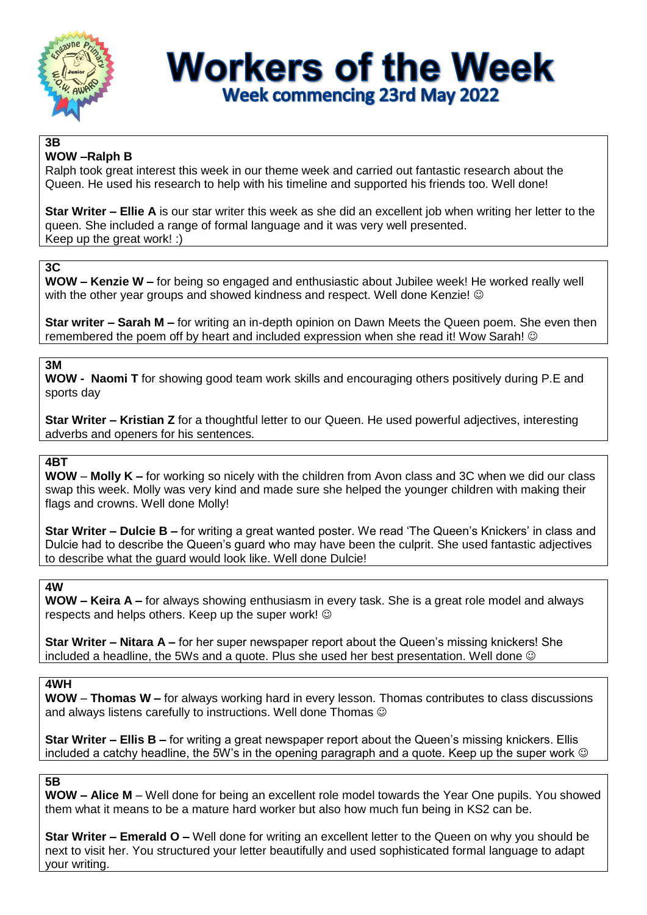

# **Workers of the Week Week commencing 23rd May 2022**

#### **3B WOW –Ralph B**

Ralph took great interest this week in our theme week and carried out fantastic research about the Queen. He used his research to help with his timeline and supported his friends too. Well done!

**Star Writer – Ellie A** is our star writer this week as she did an excellent job when writing her letter to the queen. She included a range of formal language and it was very well presented. Keep up the great work! :)

## **3C**

**WOW – Kenzie W –** for being so engaged and enthusiastic about Jubilee week! He worked really well with the other year groups and showed kindness and respect. Well done Kenzie! ©

**Star writer – Sarah M –** for writing an in-depth opinion on Dawn Meets the Queen poem. She even then remembered the poem off by heart and included expression when she read it! Wow Sarah!

## **3M**

**WOW - Naomi T** for showing good team work skills and encouraging others positively during P.E and sports day

**Star Writer – Kristian Z** for a thoughtful letter to our Queen. He used powerful adjectives, interesting adverbs and openers for his sentences.

# **4BT**

**WOW** – **Molly K –** for working so nicely with the children from Avon class and 3C when we did our class swap this week. Molly was very kind and made sure she helped the younger children with making their flags and crowns. Well done Molly!

**Star Writer – Dulcie B –** for writing a great wanted poster. We read 'The Queen's Knickers' in class and Dulcie had to describe the Queen's guard who may have been the culprit. She used fantastic adjectives to describe what the guard would look like. Well done Dulcie!

#### **4W**

**WOW – Keira A –** for always showing enthusiasm in every task. She is a great role model and always respects and helps others. Keep up the super work!

**Star Writer – Nitara A –** for her super newspaper report about the Queen's missing knickers! She included a headline, the 5Ws and a quote. Plus she used her best presentation. Well done  $\circledcirc$ 

#### **4WH**

**WOW** – **Thomas W –** for always working hard in every lesson. Thomas contributes to class discussions and always listens carefully to instructions. Well done Thomas  $\odot$ 

**Star Writer – Ellis B –** for writing a great newspaper report about the Queen's missing knickers. Ellis included a catchy headline, the 5W's in the opening paragraph and a quote. Keep up the super work  $\odot$ 

#### **5B**

**WOW – Alice M** – Well done for being an excellent role model towards the Year One pupils. You showed them what it means to be a mature hard worker but also how much fun being in KS2 can be.

**Star Writer – Emerald O –** Well done for writing an excellent letter to the Queen on why you should be next to visit her. You structured your letter beautifully and used sophisticated formal language to adapt your writing.